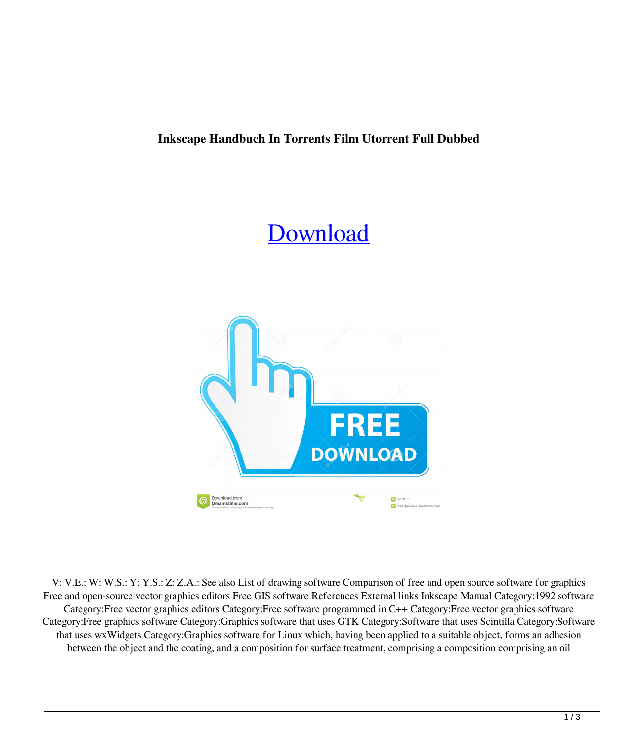## **Inkscape Handbuch In Torrents Film Utorrent Full Dubbed**

## [Download](http://evacdir.com/burroughs/ZG93bmxvYWR8ejQ3TVcxNU1ueDhNVFkxTWpjME1EZzJObng4TWpVM05IeDhLRTBwSUhKbFlXUXRZbXh2WnlCYlJtRnpkQ0JIUlU1ZA.garrincha.chalky.rehan.aW5rc2NhcGUgaGFuZGJ1Y2ggaW4gZGV1dHNjaCBkb3dubG9hZCAxMjEaW5.unacquainted.)



V: V.E.: W: W.S.: Y: Y.S.: Z: Z.A.: See also List of drawing software Comparison of free and open source software for graphics Free and open-source vector graphics editors Free GIS software References External links Inkscape Manual Category:1992 software Category:Free vector graphics editors Category:Free software programmed in C++ Category:Free vector graphics software Category:Free graphics software Category:Graphics software that uses GTK Category:Software that uses Scintilla Category:Software that uses wxWidgets Category:Graphics software for Linux which, having been applied to a suitable object, forms an adhesion between the object and the coating, and a composition for surface treatment, comprising a composition comprising an oil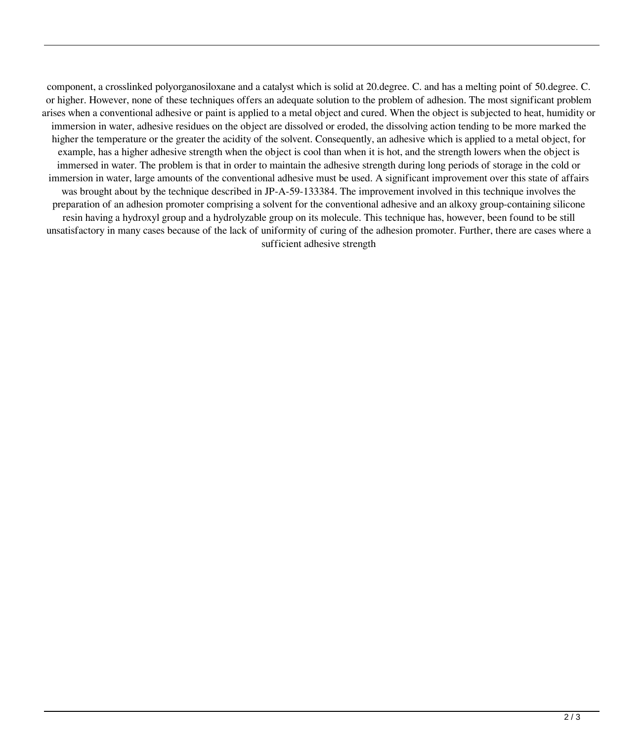component, a crosslinked polyorganosiloxane and a catalyst which is solid at 20.degree. C. and has a melting point of 50.degree. C. or higher. However, none of these techniques offers an adequate solution to the problem of adhesion. The most significant problem arises when a conventional adhesive or paint is applied to a metal object and cured. When the object is subjected to heat, humidity or immersion in water, adhesive residues on the object are dissolved or eroded, the dissolving action tending to be more marked the higher the temperature or the greater the acidity of the solvent. Consequently, an adhesive which is applied to a metal object, for example, has a higher adhesive strength when the object is cool than when it is hot, and the strength lowers when the object is immersed in water. The problem is that in order to maintain the adhesive strength during long periods of storage in the cold or immersion in water, large amounts of the conventional adhesive must be used. A significant improvement over this state of affairs was brought about by the technique described in JP-A-59-133384. The improvement involved in this technique involves the preparation of an adhesion promoter comprising a solvent for the conventional adhesive and an alkoxy group-containing silicone resin having a hydroxyl group and a hydrolyzable group on its molecule. This technique has, however, been found to be still unsatisfactory in many cases because of the lack of uniformity of curing of the adhesion promoter. Further, there are cases where a sufficient adhesive strength